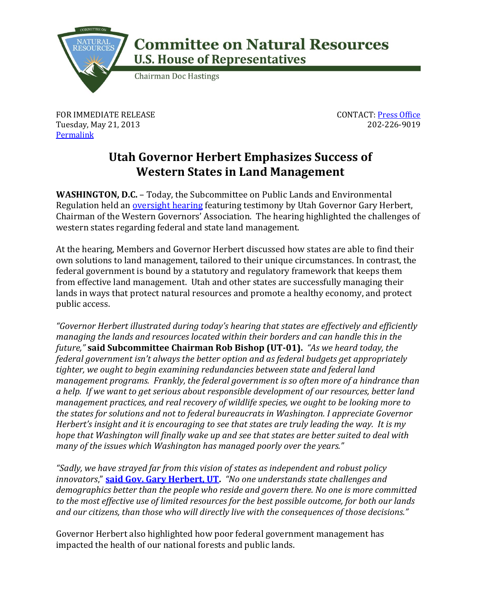

## **Committee on Natural Resources U.S. House of Representatives**

**Chairman Doc Hastings** 

FOR IMMEDIATE RELEASE Tuesday, May 21, 2013 **[Permalink](http://naturalresources.house.gov/news/documentsingle.aspx?DocumentID=334762)** 

CONTACT: [Press Office](http://naturalresources.house.gov/contact/media.htm) 202-226-9019

## **Utah Governor Herbert Emphasizes Success of Western States in Land Management**

**WASHINGTON, D.C.** – Today, the Subcommittee on Public Lands and Environmental Regulation held an **oversight hearing** featuring testimony by Utah Governor Gary Herbert, Chairman of the Western Governors' Association. The hearing highlighted the challenges of western states regarding federal and state land management.

At the hearing, Members and Governor Herbert discussed how states are able to find their own solutions to land management, tailored to their unique circumstances. In contrast, the federal government is bound by a statutory and regulatory framework that keeps them from effective land management. Utah and other states are successfully managing their lands in ways that protect natural resources and promote a healthy economy, and protect public access.

*"Governor Herbert illustrated during today's hearing that states are effectively and efficiently managing the lands and resources located within their borders and can handle this in the future,"* **said Subcommittee Chairman Rob Bishop (UT-01).** *"As we heard today, the federal government isn't always the better option and as federal budgets get appropriately tighter, we ought to begin examining redundancies between state and federal land management programs. Frankly, the federal government is so often more of a hindrance than a help. If we want to get serious about responsible development of our resources, better land management practices, and real recovery of wildlife species, we ought to be looking more to the states for solutions and not to federal bureaucrats in Washington. I appreciate Governor Herbert's insight and it is encouraging to see that states are truly leading the way. It is my hope that Washington will finally wake up and see that states are better suited to deal with many of the issues which Washington has managed poorly over the years."*

*"Sadly, we have strayed far from this vision of states as independent and robust policy innovators*," **[said Gov. Gary Herbert, UT.](http://naturalresources.house.gov/uploadedfiles/herberttestimony05-21-13.pdf)** *"No one understands state challenges and demographics better than the people who reside and govern there. No one is more committed to the most effective use of limited resources for the best possible outcome, for both our lands and our citizens, than those who will directly live with the consequences of those decisions."*

Governor Herbert also highlighted how poor federal government management has impacted the health of our national forests and public lands.